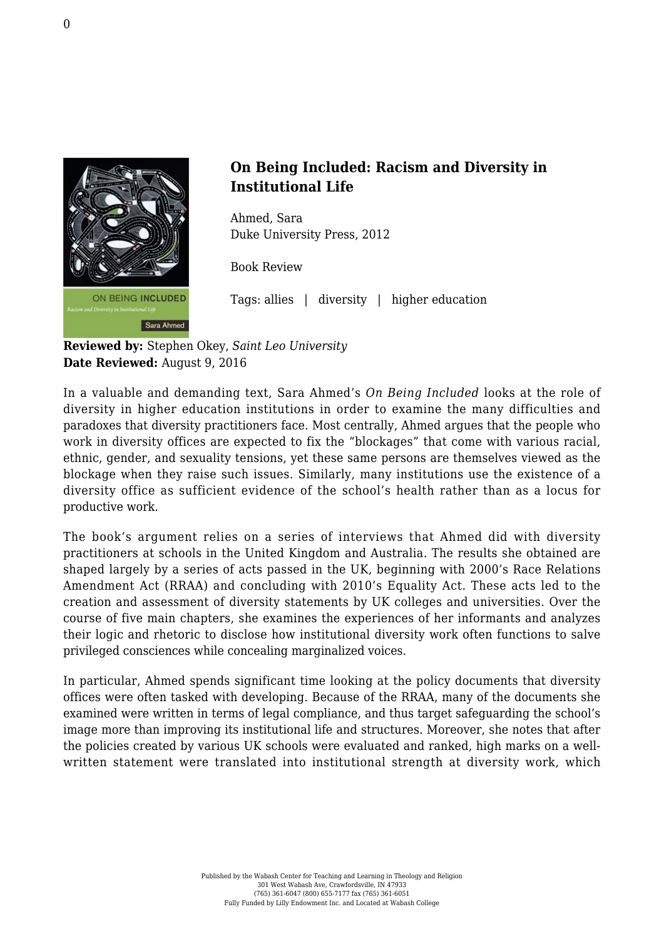

## **On Being Included: Racism and Diversity in Institutional Life**

Ahmed, Sara [Duke University Press, 2012](https://www.dukeupress.edu/on-being-included)

Book Review

Tags: allies | diversity | higher education

**Reviewed by:** Stephen Okey, *Saint Leo University* **Date Reviewed:** August 9, 2016

In a valuable and demanding text, Sara Ahmed's *On Being Included* looks at the role of diversity in higher education institutions in order to examine the many difficulties and paradoxes that diversity practitioners face. Most centrally, Ahmed argues that the people who work in diversity offices are expected to fix the "blockages" that come with various racial, ethnic, gender, and sexuality tensions, yet these same persons are themselves viewed as the blockage when they raise such issues. Similarly, many institutions use the existence of a diversity office as sufficient evidence of the school's health rather than as a locus for productive work.

The book's argument relies on a series of interviews that Ahmed did with diversity practitioners at schools in the United Kingdom and Australia. The results she obtained are shaped largely by a series of acts passed in the UK, beginning with 2000's Race Relations Amendment Act (RRAA) and concluding with 2010's Equality Act. These acts led to the creation and assessment of diversity statements by UK colleges and universities. Over the course of five main chapters, she examines the experiences of her informants and analyzes their logic and rhetoric to disclose how institutional diversity work often functions to salve privileged consciences while concealing marginalized voices.

In particular, Ahmed spends significant time looking at the policy documents that diversity offices were often tasked with developing. Because of the RRAA, many of the documents she examined were written in terms of legal compliance, and thus target safeguarding the school's image more than improving its institutional life and structures. Moreover, she notes that after the policies created by various UK schools were evaluated and ranked, high marks on a wellwritten statement were translated into institutional strength at diversity work, which